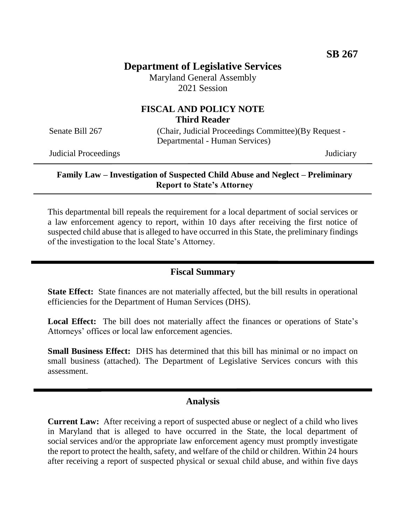# **Department of Legislative Services**

Maryland General Assembly 2021 Session

# **FISCAL AND POLICY NOTE Third Reader**

Senate Bill 267 (Chair, Judicial Proceedings Committee)(By Request -Departmental - Human Services)

Judicial Proceedings Judiciary

### **Family Law – Investigation of Suspected Child Abuse and Neglect – Preliminary Report to State's Attorney**

This departmental bill repeals the requirement for a local department of social services or a law enforcement agency to report, within 10 days after receiving the first notice of suspected child abuse that is alleged to have occurred in this State, the preliminary findings of the investigation to the local State's Attorney.

### **Fiscal Summary**

**State Effect:** State finances are not materially affected, but the bill results in operational efficiencies for the Department of Human Services (DHS).

Local Effect: The bill does not materially affect the finances or operations of State's Attorneys' offices or local law enforcement agencies.

**Small Business Effect:** DHS has determined that this bill has minimal or no impact on small business (attached). The Department of Legislative Services concurs with this assessment.

### **Analysis**

**Current Law:** After receiving a report of suspected abuse or neglect of a child who lives in Maryland that is alleged to have occurred in the State, the local department of social services and/or the appropriate law enforcement agency must promptly investigate the report to protect the health, safety, and welfare of the child or children. Within 24 hours after receiving a report of suspected physical or sexual child abuse, and within five days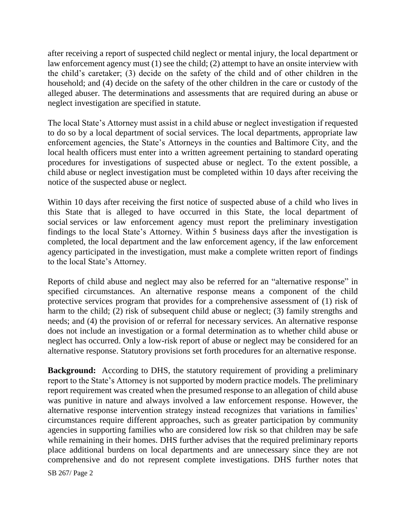after receiving a report of suspected child neglect or mental injury, the local department or law enforcement agency must (1) see the child; (2) attempt to have an onsite interview with the child's caretaker; (3) decide on the safety of the child and of other children in the household; and (4) decide on the safety of the other children in the care or custody of the alleged abuser. The determinations and assessments that are required during an abuse or neglect investigation are specified in statute.

The local State's Attorney must assist in a child abuse or neglect investigation if requested to do so by a local department of social services. The local departments, appropriate law enforcement agencies, the State's Attorneys in the counties and Baltimore City, and the local health officers must enter into a written agreement pertaining to standard operating procedures for investigations of suspected abuse or neglect. To the extent possible, a child abuse or neglect investigation must be completed within 10 days after receiving the notice of the suspected abuse or neglect.

Within 10 days after receiving the first notice of suspected abuse of a child who lives in this State that is alleged to have occurred in this State, the local department of social services or law enforcement agency must report the preliminary investigation findings to the local State's Attorney. Within 5 business days after the investigation is completed, the local department and the law enforcement agency, if the law enforcement agency participated in the investigation, must make a complete written report of findings to the local State's Attorney.

Reports of child abuse and neglect may also be referred for an "alternative response" in specified circumstances. An alternative response means a component of the child protective services program that provides for a comprehensive assessment of (1) risk of harm to the child; (2) risk of subsequent child abuse or neglect; (3) family strengths and needs; and (4) the provision of or referral for necessary services. An alternative response does not include an investigation or a formal determination as to whether child abuse or neglect has occurred. Only a low-risk report of abuse or neglect may be considered for an alternative response. Statutory provisions set forth procedures for an alternative response.

**Background:** According to DHS, the statutory requirement of providing a preliminary report to the State's Attorney is not supported by modern practice models. The preliminary report requirement was created when the presumed response to an allegation of child abuse was punitive in nature and always involved a law enforcement response. However, the alternative response intervention strategy instead recognizes that variations in families' circumstances require different approaches, such as greater participation by community agencies in supporting families who are considered low risk so that children may be safe while remaining in their homes. DHS further advises that the required preliminary reports place additional burdens on local departments and are unnecessary since they are not comprehensive and do not represent complete investigations. DHS further notes that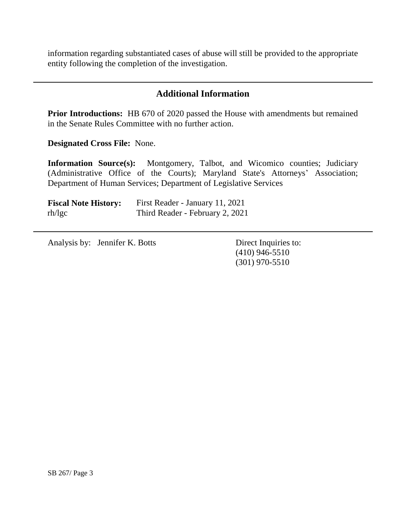information regarding substantiated cases of abuse will still be provided to the appropriate entity following the completion of the investigation.

# **Additional Information**

**Prior Introductions:** HB 670 of 2020 passed the House with amendments but remained in the Senate Rules Committee with no further action.

**Designated Cross File:** None.

**Information Source(s):** Montgomery, Talbot, and Wicomico counties; Judiciary (Administrative Office of the Courts); Maryland State's Attorneys' Association; Department of Human Services; Department of Legislative Services

| <b>Fiscal Note History:</b> | First Reader - January 11, 2021 |
|-----------------------------|---------------------------------|
| rh/lgc                      | Third Reader - February 2, 2021 |

Analysis by: Jennifer K. Botts Direct Inquiries to:

(410) 946-5510 (301) 970-5510